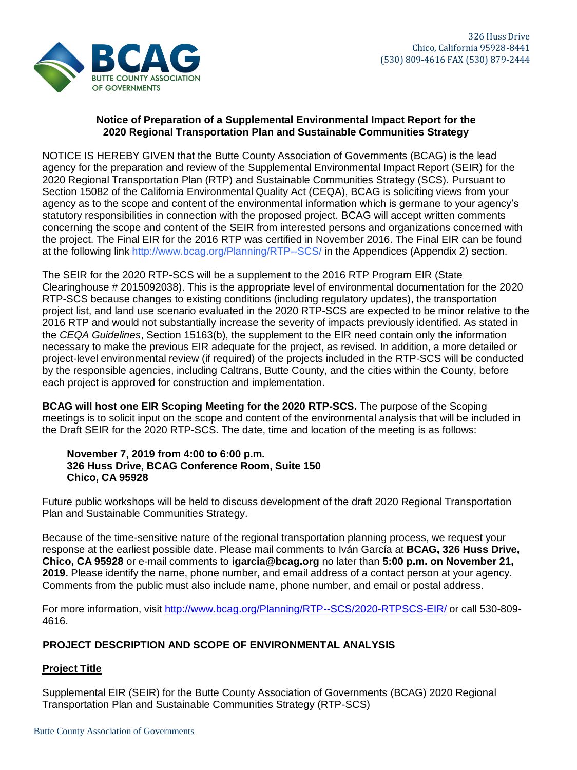

### **2020 Regional Transportation Plan and Sustainable Communities Strategy Notice of Preparation of a Supplemental Environmental Impact Report for the**

at the following link <http://www.bcag.org/Planning/RTP--SCS/> in the Appendices (Appendix 2) section. the project. The Final EIR for the 2016 RTP was certified in November 2016. The Final EIR can be found concerning the scope and content of the SEIR from interested persons and organizations concerned with statutory responsibilities in connection with the proposed project. BCAG will accept written comments agency as to the scope and content of the environmental information which is germane to your agency's Section 15082 of the California Environmental Quality Act (CEQA), BCAG is soliciting views from your 2020 Regional Transportation Plan (RTP) and Sustainable Communities Strategy (SCS). Pursuant to agency for the preparation and review of the Supplemental Environmental Impact Report (SEIR) for the NOTICE IS HEREBY GIVEN that the Butte County Association of Governments (BCAG) is the lead

each project is approved for construction and implementation. by the responsible agencies, including Caltrans, Butte County, and the cities within the County, before project-level environmental review (if required) of the projects included in the RTP-SCS will be conducted necessary to make the previous EIR adequate for the project, as revised. In addition, a more detailed or the *CEQA Guidelines*, Section 15163(b), the supplement to the EIR need contain only the information 2016 RTP and would not substantially increase the severity of impacts previously identified. As stated in project list, and land use scenario evaluated in the 2020 RTP-SCS are expected to be minor relative to the RTP-SCS because changes to existing conditions (including regulatory updates), the transportation Clearinghouse # 2015092038). This is the appropriate level of environmental documentation for the 2020 The SEIR for the 2020 RTP-SCS will be a supplement to the 2016 RTP Program EIR (State

the Draft SEIR for the 2020 RTP-SCS. The date, time and location of the meeting is as follows: meetings is to solicit input on the scope and content of the environmental analysis that will be included in **BCAG will host one EIR Scoping Meeting for the 2020 RTP-SCS.** The purpose of the Scoping

#### **Chico, CA 95928 326 Huss Drive, BCAG Conference Room, Suite 150 November 7, 2019 from 4:00 to 6:00 p.m.**

Plan and Sustainable Communities Strategy. Future public workshops will be held to discuss development of the draft 2020 Regional Transportation

Comments from the public must also include name, phone number, and email or postal address. **2019.** Please identify the name, phone number, and email address of a contact person at your agency. **Chico, CA 95928** or e-mail comments to **igarcia@bcag.org** no later than **5:00 p.m. on November 21,** response at the earliest possible date. Please mail comments to Iván García at **BCAG, 326 Huss Drive,** Because of the time-sensitive nature of the regional transportation planning process, we request your

4616. For more information, visit <http://www.bcag.org/Planning/RTP--SCS/2020-RTPSCS-EIR/> or call 530-809-

# **PROJECT DESCRIPTION AND SCOPE OF ENVIRONMENTAL ANALYSIS**

# **Project Title**

Transportation Plan and Sustainable Communities Strategy (RTP-SCS) Supplemental EIR (SEIR) for the Butte County Association of Governments (BCAG) 2020 Regional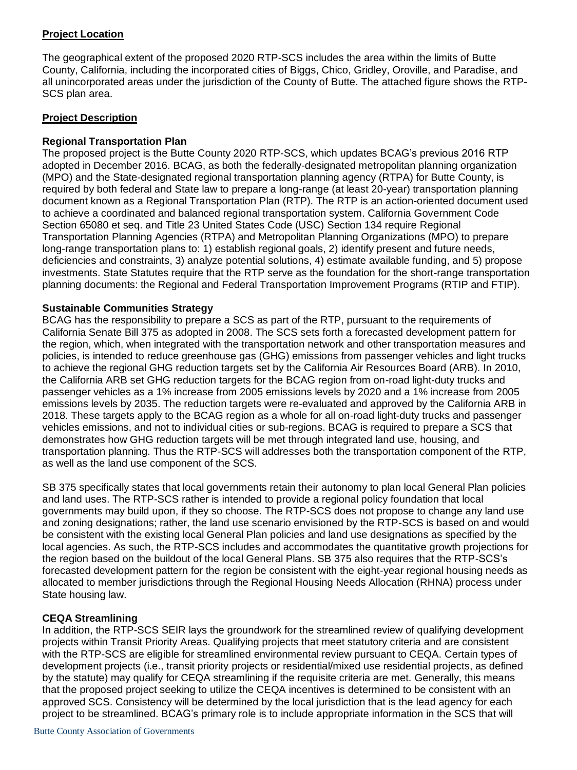### **Project Location**

The geographical extent of the proposed 2020 RTP-SCS includes the area within the limits of Butte County, California, including the incorporated cities of Biggs, Chico, Gridley, Oroville, and Paradise, and all unincorporated areas under the jurisdiction of the County of Butte. The attached figure shows the RTP-SCS plan area.

### **Project Description**

### **Regional Transportation Plan**

The proposed project is the Butte County 2020 RTP-SCS, which updates BCAG's previous 2016 RTP adopted in December 2016. BCAG, as both the federally-designated metropolitan planning organization (MPO) and the State-designated regional transportation planning agency (RTPA) for Butte County, is required by both federal and State law to prepare a long-range (at least 20-year) transportation planning document known as a Regional Transportation Plan (RTP). The RTP is an action-oriented document used to achieve a coordinated and balanced regional transportation system. California Government Code Section 65080 et seq. and Title 23 United States Code (USC) Section 134 require Regional Transportation Planning Agencies (RTPA) and Metropolitan Planning Organizations (MPO) to prepare long-range transportation plans to: 1) establish regional goals, 2) identify present and future needs, deficiencies and constraints, 3) analyze potential solutions, 4) estimate available funding, and 5) propose investments. State Statutes require that the RTP serve as the foundation for the short-range transportation planning documents: the Regional and Federal Transportation Improvement Programs (RTIP and FTIP).

### **Sustainable Communities Strategy**

BCAG has the responsibility to prepare a SCS as part of the RTP, pursuant to the requirements of California Senate Bill 375 as adopted in 2008. The SCS sets forth a forecasted development pattern for the region, which, when integrated with the transportation network and other transportation measures and policies, is intended to reduce greenhouse gas (GHG) emissions from passenger vehicles and light trucks to achieve the regional GHG reduction targets set by the California Air Resources Board (ARB). In 2010, the California ARB set GHG reduction targets for the BCAG region from on-road light-duty trucks and passenger vehicles as a 1% increase from 2005 emissions levels by 2020 and a 1% increase from 2005 emissions levels by 2035. The reduction targets were re-evaluated and approved by the California ARB in 2018. These targets apply to the BCAG region as a whole for all on-road light-duty trucks and passenger vehicles emissions, and not to individual cities or sub-regions. BCAG is required to prepare a SCS that demonstrates how GHG reduction targets will be met through integrated land use, housing, and transportation planning. Thus the RTP-SCS will addresses both the transportation component of the RTP, as well as the land use component of the SCS.

SB 375 specifically states that local governments retain their autonomy to plan local General Plan policies and land uses. The RTP-SCS rather is intended to provide a regional policy foundation that local governments may build upon, if they so choose. The RTP-SCS does not propose to change any land use and zoning designations; rather, the land use scenario envisioned by the RTP-SCS is based on and would be consistent with the existing local General Plan policies and land use designations as specified by the local agencies. As such, the RTP-SCS includes and accommodates the quantitative growth projections for the region based on the buildout of the local General Plans. SB 375 also requires that the RTP-SCS's forecasted development pattern for the region be consistent with the eight-year regional housing needs as allocated to member jurisdictions through the Regional Housing Needs Allocation (RHNA) process under State housing law.

# **CEQA Streamlining**

In addition, the RTP-SCS SEIR lays the groundwork for the streamlined review of qualifying development projects within Transit Priority Areas. Qualifying projects that meet statutory criteria and are consistent with the RTP-SCS are eligible for streamlined environmental review pursuant to CEQA. Certain types of development projects (i.e., transit priority projects or residential/mixed use residential projects, as defined by the statute) may qualify for CEQA streamlining if the requisite criteria are met. Generally, this means that the proposed project seeking to utilize the CEQA incentives is determined to be consistent with an approved SCS. Consistency will be determined by the local jurisdiction that is the lead agency for each project to be streamlined. BCAG's primary role is to include appropriate information in the SCS that will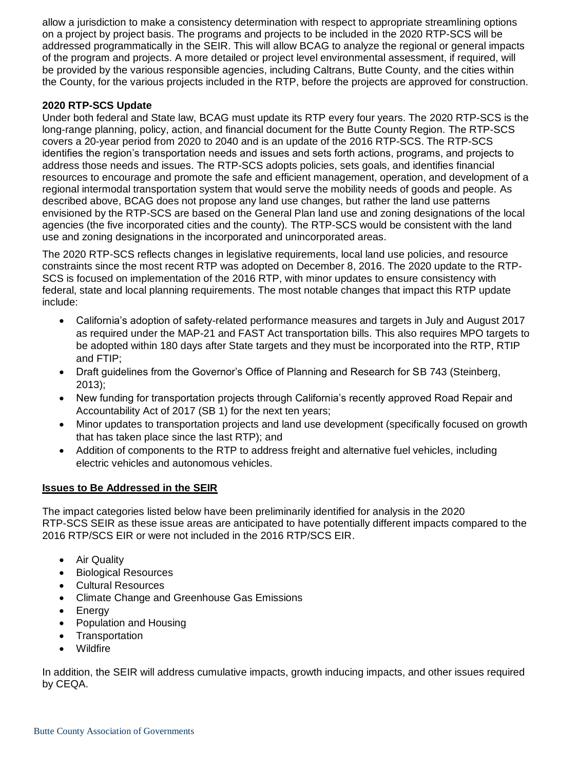allow a jurisdiction to make a consistency determination with respect to appropriate streamlining options on a project by project basis. The programs and projects to be included in the 2020 RTP-SCS will be addressed programmatically in the SEIR. This will allow BCAG to analyze the regional or general impacts of the program and projects. A more detailed or project level environmental assessment, if required, will be provided by the various responsible agencies, including Caltrans, Butte County, and the cities within the County, for the various projects included in the RTP, before the projects are approved for construction.

### **2020 RTP-SCS Update**

Under both federal and State law, BCAG must update its RTP every four years. The 2020 RTP-SCS is the long-range planning, policy, action, and financial document for the Butte County Region. The RTP-SCS covers a 20-year period from 2020 to 2040 and is an update of the 2016 RTP-SCS. The RTP-SCS identifies the region's transportation needs and issues and sets forth actions, programs, and projects to address those needs and issues. The RTP-SCS adopts policies, sets goals, and identifies financial resources to encourage and promote the safe and efficient management, operation, and development of a regional intermodal transportation system that would serve the mobility needs of goods and people. As described above, BCAG does not propose any land use changes, but rather the land use patterns envisioned by the RTP-SCS are based on the General Plan land use and zoning designations of the local agencies (the five incorporated cities and the county). The RTP-SCS would be consistent with the land use and zoning designations in the incorporated and unincorporated areas.

The 2020 RTP-SCS reflects changes in legislative requirements, local land use policies, and resource constraints since the most recent RTP was adopted on December 8, 2016. The 2020 update to the RTP-SCS is focused on implementation of the 2016 RTP, with minor updates to ensure consistency with federal, state and local planning requirements. The most notable changes that impact this RTP update include:

- California's adoption of safety-related performance measures and targets in July and August 2017 as required under the MAP-21 and FAST Act transportation bills. This also requires MPO targets to be adopted within 180 days after State targets and they must be incorporated into the RTP, RTIP and FTIP;
- Draft guidelines from the Governor's Office of Planning and Research for SB 743 (Steinberg, 2013);
- New funding for transportation projects through California's recently approved Road Repair and Accountability Act of 2017 (SB 1) for the next ten years;
- Minor updates to transportation projects and land use development (specifically focused on growth that has taken place since the last RTP); and
- Addition of components to the RTP to address freight and alternative fuel vehicles, including electric vehicles and autonomous vehicles.

#### **Issues to Be Addressed in the SEIR**

The impact categories listed below have been preliminarily identified for analysis in the 2020 RTP-SCS SEIR as these issue areas are anticipated to have potentially different impacts compared to the 2016 RTP/SCS EIR or were not included in the 2016 RTP/SCS EIR.

- Air Quality
- Biological Resources
- Cultural Resources
- Climate Change and Greenhouse Gas Emissions
- **Energy**
- Population and Housing
- Transportation
- Wildfire

In addition, the SEIR will address cumulative impacts, growth inducing impacts, and other issues required by CEQA.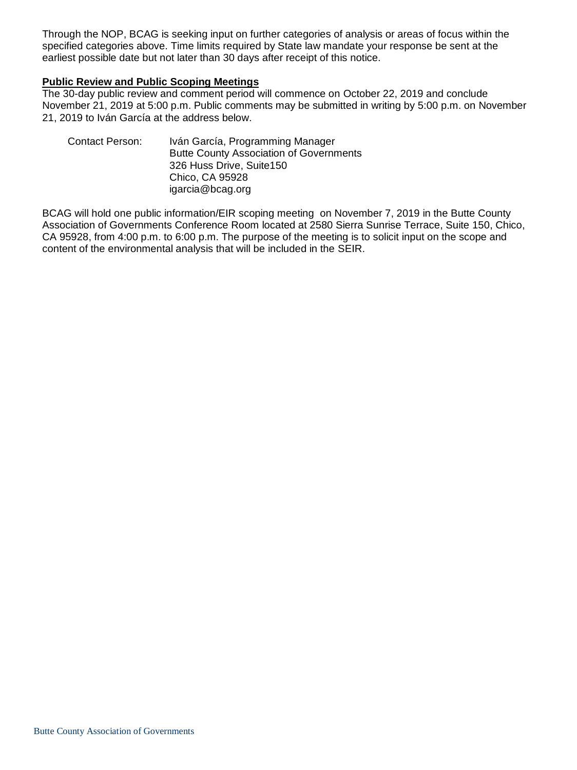Through the NOP, BCAG is seeking input on further categories of analysis or areas of focus within the specified categories above. Time limits required by State law mandate your response be sent at the earliest possible date but not later than 30 days after receipt of this notice.

#### **Public Review and Public Scoping Meetings**

The 30-day public review and comment period will commence on October 22, 2019 and conclude November 21, 2019 at 5:00 p.m. Public comments may be submitted in writing by 5:00 p.m. on November 21, 2019 to Iván García at the address below.

| <b>Contact Person:</b> | Iván García, Programming Manager               |
|------------------------|------------------------------------------------|
|                        | <b>Butte County Association of Governments</b> |
|                        | 326 Huss Drive, Suite 150                      |
|                        | Chico, CA 95928                                |
|                        | igarcia@bcag.org                               |
|                        |                                                |

BCAG will hold one public information/EIR scoping meeting on November 7, 2019 in the Butte County Association of Governments Conference Room located at 2580 Sierra Sunrise Terrace, Suite 150, Chico, CA 95928, from 4:00 p.m. to 6:00 p.m. The purpose of the meeting is to solicit input on the scope and content of the environmental analysis that will be included in the SEIR.